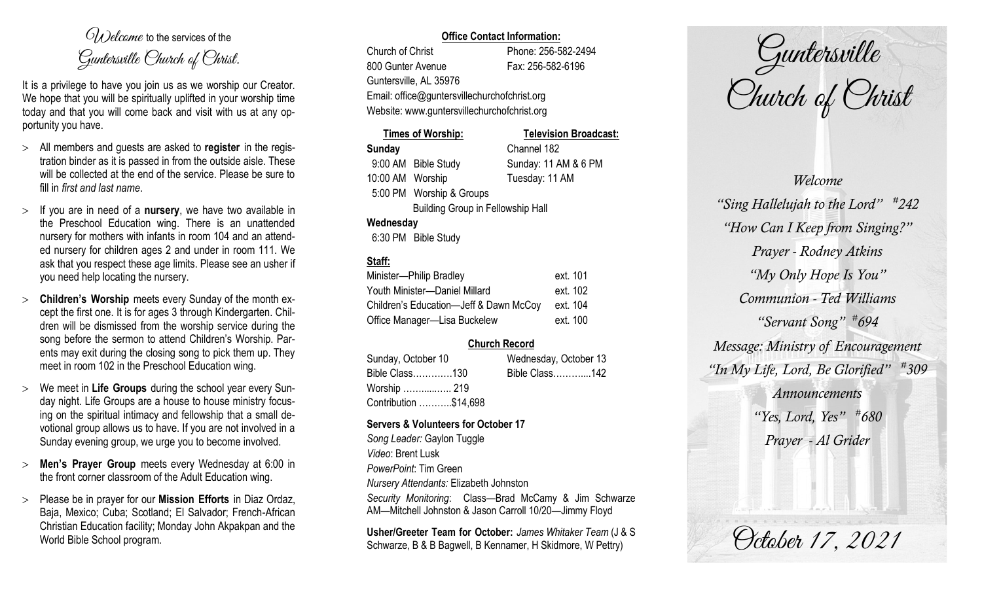$O(\lambda)$  elcame to the services of the Guntersville Church of Christ.

It is a privilege to have you join us as we worship our Creator. We hope that you will be spiritually uplifted in your worship time today and that you will come back and visit with us at any opportunity you have.

- All members and guests are asked to **register** in the registration binder as it is passed in from the outside aisle. These will be collected at the end of the service. Please be sure to fill in *first and last name*.
- $>$  If you are in need of a **nursery**, we have two available in the Preschool Education wing. There is an unattended nursery for mothers with infants in room 104 and an attended nursery for children ages 2 and under in room 111. We ask that you respect these age limits. Please see an usher if you need help locating the nursery.
- **Children's Worship** meets every Sunday of the month except the first one. It is for ages 3 through Kindergarten. Children will be dismissed from the worship service during the song before the sermon to attend Children's Worship. Parents may exit during the closing song to pick them up. They meet in room 102 in the Preschool Education wing.
- We meet in **Life Groups** during the school year every Sunday night. Life Groups are a house to house ministry focusing on the spiritual intimacy and fellowship that a small devotional group allows us to have. If you are not involved in a Sunday evening group, we urge you to become involved.
- **Men's Prayer Group** meets every Wednesday at 6:00 in the front corner classroom of the Adult Education wing.
- Please be in prayer for our **Mission Efforts** in Diaz Ordaz, Baja, Mexico; Cuba; Scotland; El Salvador; French-African Christian Education facility; Monday John Akpakpan and the World Bible School program.

## **Office Contact Information:**

Church of Christ Phone: 256-582-2494 800 Gunter Avenue Fax: 256-582-6196 Guntersville, AL 35976 Website: www.guntersvillechurchofchrist.org

Email: office@guntersvillechurchofchrist.org

|                                          | <b>Times of Worship:</b> | <b>Television Broadcast:</b> |  |
|------------------------------------------|--------------------------|------------------------------|--|
| <b>Sunday</b>                            |                          | Channel 182                  |  |
|                                          | 9:00 AM Bible Study      | Sunday: 11 AM & 6 PM         |  |
| 10:00 AM Worship                         |                          | Tuesday: 11 AM               |  |
|                                          | 5:00 PM Worship & Groups |                              |  |
| <b>Building Group in Fellowship Hall</b> |                          |                              |  |
| Wednesday                                |                          |                              |  |
|                                          | C 30 DM D'UL QUI         |                              |  |

### 6:30 PM Bible Study

# **Staff:**

| Minister-Philip Bradley                | ext. 101 |
|----------------------------------------|----------|
| Youth Minister-Daniel Millard          | ext. 102 |
| Children's Education-Jeff & Dawn McCoy | ext. 104 |
| Office Manager-Lisa Buckelew           | ext. 100 |

# **Church Record**

| Sunday, October 10    | Wednesday, October 13 |  |
|-----------------------|-----------------------|--|
| Bible Class130        | Bible Class142        |  |
| Worship  219          |                       |  |
| Contribution \$14,698 |                       |  |

### **Servers & Volunteers for October 17**

*Song Leader:* Gaylon Tuggle *Video*: Brent Lusk *PowerPoint*: Tim Green *Nursery Attendants:* Elizabeth Johnston *Security Monitoring*: Class—Brad McCamy & Jim Schwarze AM—Mitchell Johnston & Jason Carroll 10/20—Jimmy Floyd

**Usher/Greeter Team for October:** *James Whitaker Team* (J & S Schwarze, B & B Bagwell, B Kennamer, H Skidmore, W Pettry)

Guntersville Church of Christ

*Welcome "Sing Hallelujah to the Lord" # 242 "How Can I Keep from Singing?" Prayer - Rodney Atkins "My Only Hope Is You" Communion - Ted Williams "Servant Song" # 694 Message: Ministry of Encouragement "In My Life, Lord, Be Glorified" # 309 Announcements "Yes, Lord, Yes" # 680 Prayer - Al Grider*

October 17, 2021